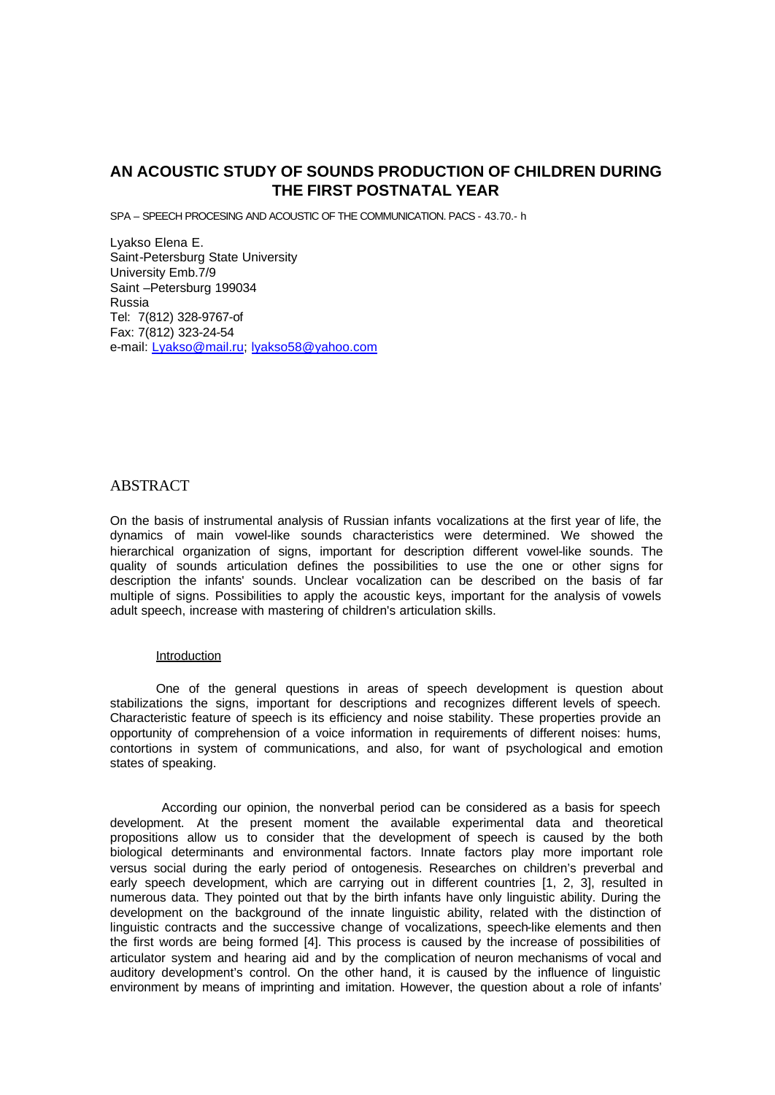# **AN ACOUSTIC STUDY OF SOUNDS PRODUCTION OF CHILDREN DURING THE FIRST POSTNATAL YEAR**

SPA – SPEECH PROCESING AND ACOUSTIC OF THE COMMUNICATION. PACS - 43.70.- h

Lyakso Elena E. Saint-Petersburg State University University Emb.7/9 Saint –Petersburg 199034 Russia Tel: 7(812) 328-9767-of Fax: 7(812) 323-24-54 e-mail: Lyakso@mail.ru; lyakso58@yahoo.com

## **ABSTRACT**

On the basis of instrumental analysis of Russian infants vocalizations at the first year of life, the dynamics of main vowel-like sounds characteristics were determined. We showed the hierarchical organization of signs, important for description different vowel-like sounds. The quality of sounds articulation defines the possibilities to use the one or other signs for description the infants' sounds. Unclear vocalization can be described on the basis of far multiple of signs. Possibilities to apply the acoustic keys, important for the analysis of vowels adult speech, increase with mastering of children's articulation skills.

#### Introduction

One of the general questions in areas of speech development is question about stabilizations the signs, important for descriptions and recognizes different levels of speech. Characteristic feature of speech is its efficiency and noise stability. These properties provide an opportunity of comprehension of a voice information in requirements of different noises: hums, contortions in system of communications, and also, for want of psychological and emotion states of speaking.

 According our opinion, the nonverbal period can be considered as a basis for speech development. At the present moment the available experimental data and theoretical propositions allow us to consider that the development of speech is caused by the both biological determinants and environmental factors. Innate factors play more important role versus social during the early period of ontogenesis. Researches on children's preverbal and early speech development, which are carrying out in different countries [1, 2, 3], resulted in numerous data. They pointed out that by the birth infants have only linguistic ability. During the development on the background of the innate linguistic ability, related with the distinction of linguistic contracts and the successive change of vocalizations, speech-like elements and then the first words are being formed [4]. This process is caused by the increase of possibilities of articulator system and hearing aid and by the complication of neuron mechanisms of vocal and auditory development's control. On the other hand, it is caused by the influence of linguistic environment by means of imprinting and imitation. However, the question about a role of infants'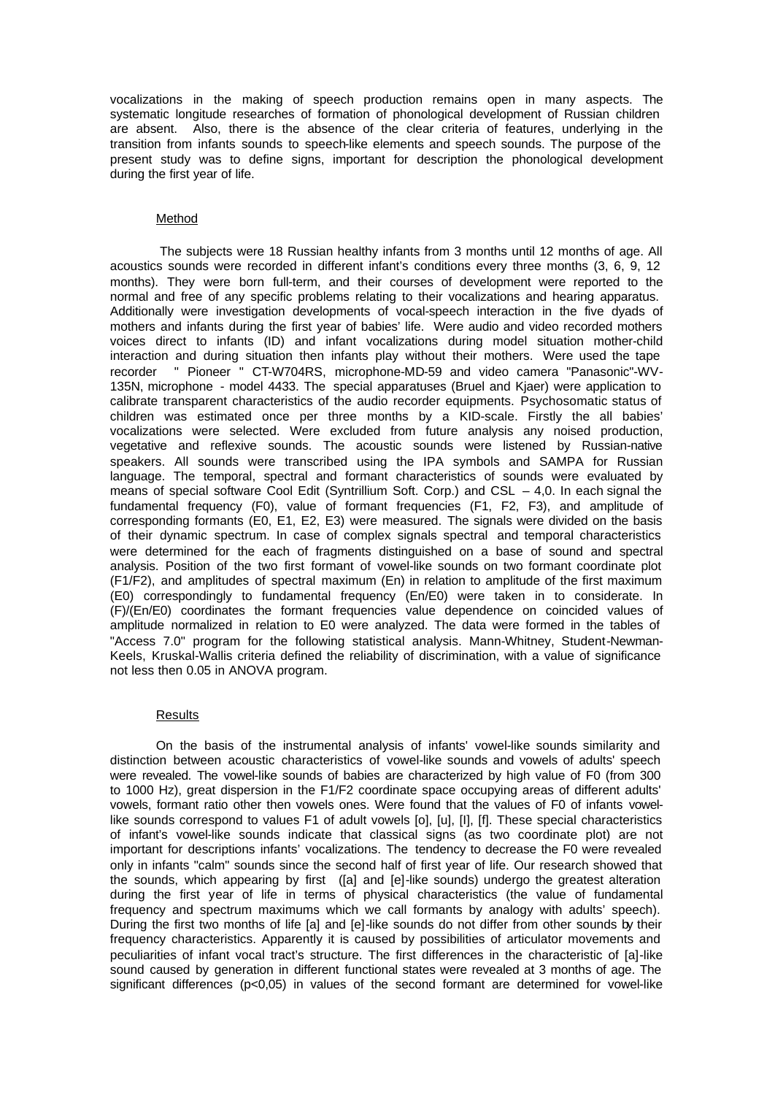vocalizations in the making of speech production remains open in many aspects. The systematic longitude researches of formation of phonological development of Russian children are absent. Also, there is the absence of the clear criteria of features, underlying in the transition from infants sounds to speech-like elements and speech sounds. The purpose of the present study was to define signs, important for description the phonological development during the first year of life.

### Method

The subjects were 18 Russian healthy infants from 3 months until 12 months of age. All acoustics sounds were recorded in different infant's conditions every three months (3, 6, 9, 12 months). They were born full-term, and their courses of development were reported to the normal and free of any specific problems relating to their vocalizations and hearing apparatus. Additionally were investigation developments of vocal-speech interaction in the five dyads of mothers and infants during the first year of babies' life. Were audio and video recorded mothers voices direct to infants (ID) and infant vocalizations during model situation mother-child interaction and during situation then infants play without their mothers. Were used the tape recorder " Pioneer " CT-W704RS, microphone-MD-59 and video camera "Panasonic"-WV-135N, microphone - model 4433. The special apparatuses (Bruel and Kjaer) were application to calibrate transparent characteristics of the audio recorder equipments. Psychosomatic status of children was estimated once per three months by a KID-scale. Firstly the all babies' vocalizations were selected. Were excluded from future analysis any noised production, vegetative and reflexive sounds. The acoustic sounds were listened by Russian-native speakers. All sounds were transcribed using the IPA symbols and SAMPA for Russian language. The temporal, spectral and formant characteristics of sounds were evaluated by means of special software Cool Edit (Syntrillium Soft. Corp.) and CSL  $-$  4,0. In each signal the fundamental frequency (F0), value of formant frequencies (F1, F2, F3), and amplitude of corresponding formants (E0, E1, E2, E3) were measured. The signals were divided on the basis of their dynamic spectrum. In case of complex signals spectral and temporal characteristics were determined for the each of fragments distinguished on a base of sound and spectral analysis. Position of the two first formant of vowel-like sounds on two formant coordinate plot (F1/F2), and amplitudes of spectral maximum (En) in relation to amplitude of the first maximum (E0) correspondingly to fundamental frequency (En/E0) were taken in to considerate. In (F)/(En/E0) coordinates the formant frequencies value dependence on coincided values of amplitude normalized in relation to E0 were analyzed. The data were formed in the tables of "Access 7.0" program for the following statistical analysis. Mann-Whitney, Student-Newman-Keels, Kruskal-Wallis criteria defined the reliability of discrimination, with a value of significance not less then 0.05 in ANOVA program.

#### Results

On the basis of the instrumental analysis of infants' vowel-like sounds similarity and distinction between acoustic characteristics of vowel-like sounds and vowels of adults' speech were revealed. The vowel-like sounds of babies are characterized by high value of F0 (from 300 to 1000 Hz), great dispersion in the F1/F2 coordinate space occupying areas of different adults' vowels, formant ratio other then vowels ones. Were found that the values of F0 of infants vowellike sounds correspond to values F1 of adult vowels [o], [u], [i], [f]. These special characteristics of infant's vowel-like sounds indicate that classical signs (as two coordinate plot) are not important for descriptions infants' vocalizations. The tendency to decrease the F0 were revealed only in infants "calm" sounds since the second half of first year of life. Our research showed that the sounds, which appearing by first ([a] and [e]-like sounds) undergo the greatest alteration during the first year of life in terms of physical characteristics (the value of fundamental frequency and spectrum maximums which we call formants by analogy with adults' speech). During the first two months of life [a] and [e]-like sounds do not differ from other sounds by their frequency characteristics. Apparently it is caused by possibilities of articulator movements and peculiarities of infant vocal tract's structure. The first differences in the characteristic of [a]-like sound caused by generation in different functional states were revealed at 3 months of age. The significant differences (p<0,05) in values of the second formant are determined for vowel-like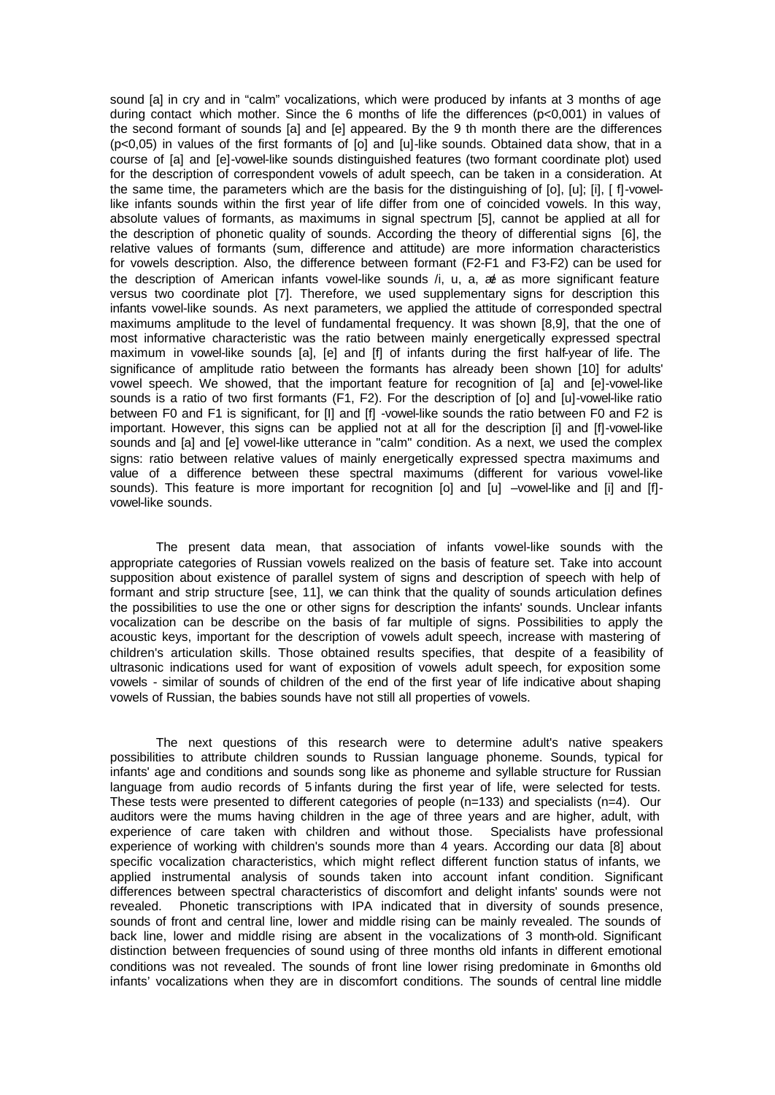sound [a] in cry and in "calm" vocalizations, which were produced by infants at 3 months of age during contact which mother. Since the 6 months of life the differences (p<0,001) in values of the second formant of sounds [a] and [e] appeared. By the 9 th month there are the differences (p<0,05) in values of the first formants of [o] and [u]-like sounds. Obtained data show, that in a course of [a] and [e]-vowel-like sounds distinguished features (two formant coordinate plot) used for the description of correspondent vowels of adult speech, can be taken in a consideration. At the same time, the parameters which are the basis for the distinguishing of [o], [u]; [i], [ f]-vowellike infants sounds within the first year of life differ from one of coincided vowels. In this way, absolute values of formants, as maximums in signal spectrum [5], cannot be applied at all for the description of phonetic quality of sounds. According the theory of differential signs [6], the relative values of formants (sum, difference and attitude) are more information characteristics for vowels description. Also, the difference between formant (F2-F1 and F3-F2) can be used for the description of American infants vowel-like sounds /i, u, a, & as more significant feature versus two coordinate plot [7]. Therefore, we used supplementary signs for description this infants vowel-like sounds. As next parameters, we applied the attitude of corresponded spectral maximums amplitude to the level of fundamental frequency. It was shown [8,9], that the one of most informative characteristic was the ratio between mainly energetically expressed spectral maximum in vowel-like sounds [a], [e] and [f] of infants during the first half-year of life. The significance of amplitude ratio between the formants has already been shown [10] for adults' vowel speech. We showed, that the important feature for recognition of [a] and [e]-vowel-like sounds is a ratio of two first formants (F1, F2). For the description of [o] and [u]-vowel-like ratio between F0 and F1 is significant, for [I] and [f] -vowel-like sounds the ratio between F0 and F2 is important. However, this signs can be applied not at all for the description [i] and [f]-vowel-like sounds and [a] and [e] vowel-like utterance in "calm" condition. As a next, we used the complex signs: ratio between relative values of mainly energetically expressed spectra maximums and value of a difference between these spectral maximums (different for various vowel-like sounds). This feature is more important for recognition [o] and [u] -vowel-like and [i] and [f]vowel-like sounds.

The present data mean, that association of infants vowel-like sounds with the appropriate categories of Russian vowels realized on the basis of feature set. Take into account supposition about existence of parallel system of signs and description of speech with help of formant and strip structure [see, 11], we can think that the quality of sounds articulation defines the possibilities to use the one or other signs for description the infants' sounds. Unclear infants vocalization can be describe on the basis of far multiple of signs. Possibilities to apply the acoustic keys, important for the description of vowels adult speech, increase with mastering of children's articulation skills. Those obtained results specifies, that despite of a feasibility of ultrasonic indications used for want of exposition of vowels adult speech, for exposition some vowels - similar of sounds of children of the end of the first year of life indicative about shaping vowels of Russian, the babies sounds have not still all properties of vowels.

The next questions of this research were to determine adult's native speakers possibilities to attribute children sounds to Russian language phoneme. Sounds, typical for infants' age and conditions and sounds song like as phoneme and syllable structure for Russian language from audio records of 5 infants during the first year of life, were selected for tests. These tests were presented to different categories of people (n=133) and specialists (n=4). Our auditors were the mums having children in the age of three years and are higher, adult, with experience of care taken with children and without those. Specialists have professional experience of working with children's sounds more than 4 years. According our data [8] about specific vocalization characteristics, which might reflect different function status of infants, we applied instrumental analysis of sounds taken into account infant condition. Significant differences between spectral characteristics of discomfort and delight infants' sounds were not revealed. Phonetic transcriptions with IPA indicated that in diversity of sounds presence, sounds of front and central line, lower and middle rising can be mainly revealed. The sounds of back line, lower and middle rising are absent in the vocalizations of 3 month-old. Significant distinction between frequencies of sound using of three months old infants in different emotional conditions was not revealed. The sounds of front line lower rising predominate in 6-months old infants' vocalizations when they are in discomfort conditions. The sounds of central line middle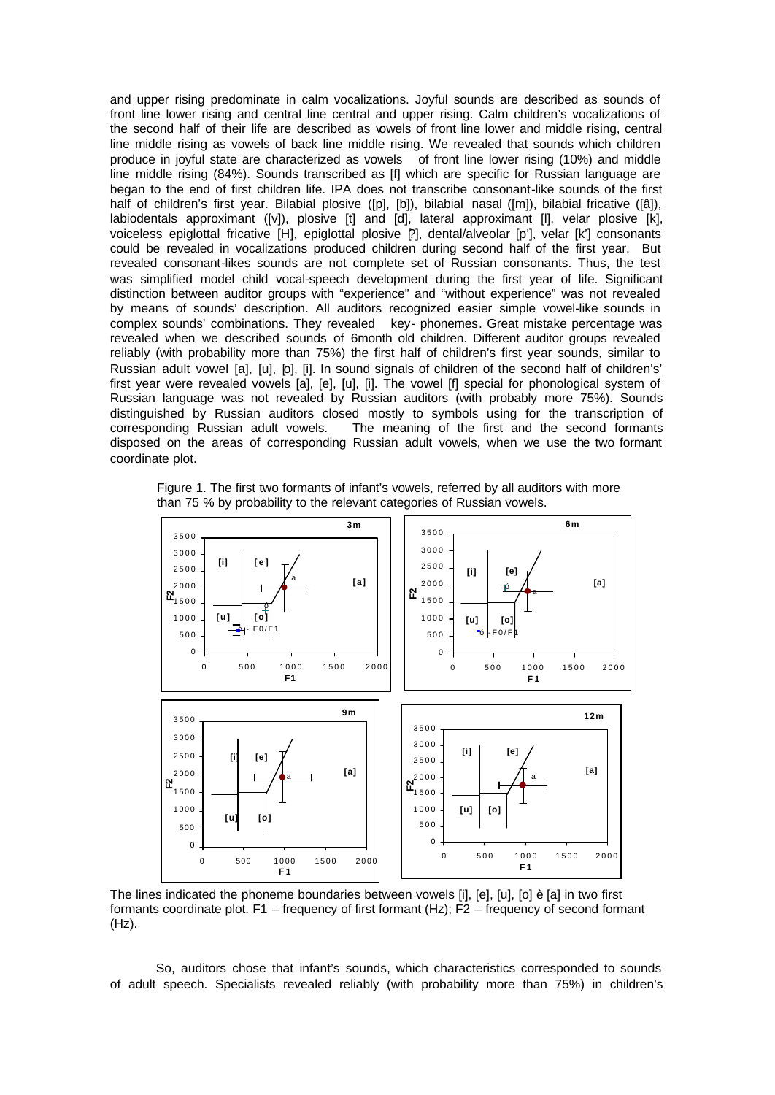and upper rising predominate in calm vocalizations. Joyful sounds are described as sounds of front line lower rising and central line central and upper rising. Calm children's vocalizations of the second half of their life are described as vowels of front line lower and middle rising, central line middle rising as vowels of back line middle rising. We revealed that sounds which children produce in joyful state are characterized as vowels of front line lower rising (10%) and middle line middle rising (84%). Sounds transcribed as [f] which are specific for Russian language are began to the end of first children life. IPA does not transcribe consonant-like sounds of the first half of children's first year. Bilabial plosive ([p], [b]), bilabial nasal ([m]), bilabial fricative ([â]), labiodentals approximant ([v]), plosive [t] and [d], lateral approximant [l], velar plosive [k], voiceless epiglottal fricative [H], epiglottal plosive [?], dental/alveolar [p'], velar [k'] consonants could be revealed in vocalizations produced children during second half of the first year. But revealed consonant-likes sounds are not complete set of Russian consonants. Thus, the test was simplified model child vocal-speech development during the first year of life. Significant distinction between auditor groups with "experience" and "without experience" was not revealed by means of sounds' description. All auditors recognized easier simple vowel-like sounds in complex sounds' combinations. They revealed key- phonemes. Great mistake percentage was revealed when we described sounds of 6month old children. Different auditor groups revealed reliably (with probability more than 75%) the first half of children's first year sounds, similar to Russian adult vowel [a], [u], [o], [i]. In sound signals of children of the second half of children's' first year were revealed vowels [a], [e], [u], [i]. The vowel [f] special for phonological system of Russian language was not revealed by Russian auditors (with probably more 75%). Sounds distinguished by Russian auditors closed mostly to symbols using for the transcription of corresponding Russian adult vowels. The meaning of the first and the second formants disposed on the areas of corresponding Russian adult vowels, when we use the two formant coordinate plot.

Figure 1. The first two formants of infant's vowels, referred by all auditors with more than 75 % by probability to the relevant categories of Russian vowels.



The lines indicated the phoneme boundaries between vowels [i], [e], [u], [o] è [a] in two first formants coordinate plot. F1 – frequency of first formant (Hz); F2 – frequency of second formant (Hz).

So, auditors chose that infant's sounds, which characteristics corresponded to sounds of adult speech. Specialists revealed reliably (with probability more than 75%) in children's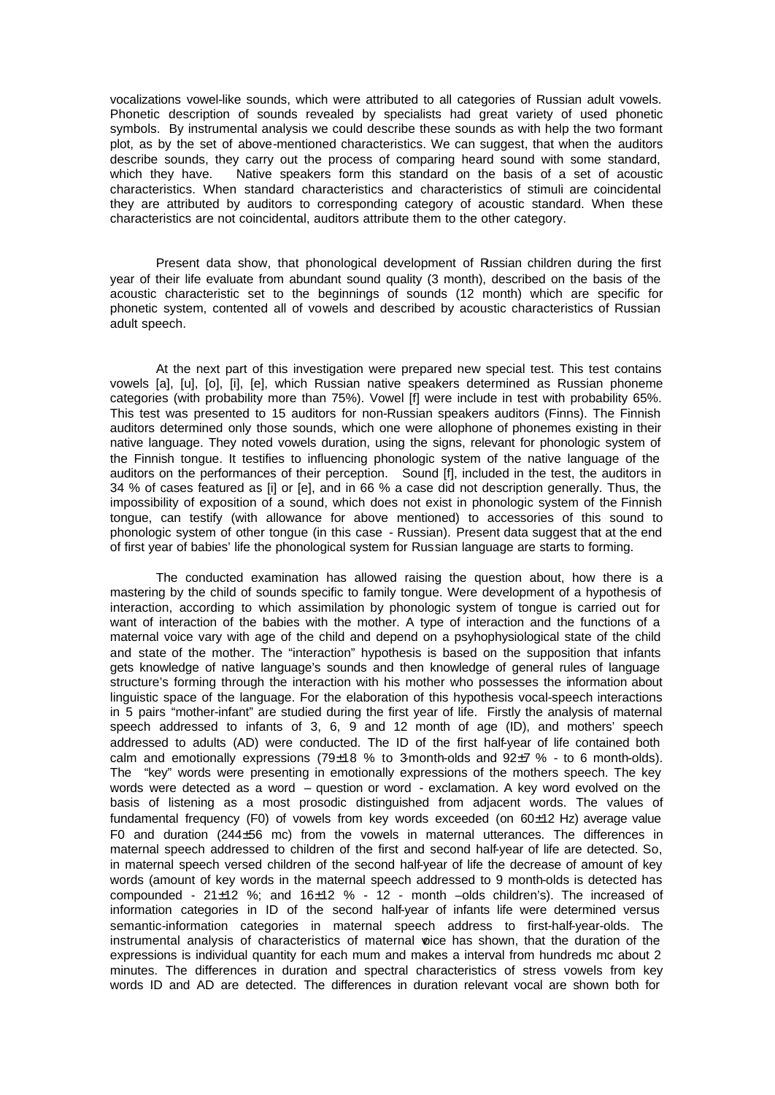vocalizations vowel-like sounds, which were attributed to all categories of Russian adult vowels. Phonetic description of sounds revealed by specialists had great variety of used phonetic symbols. By instrumental analysis we could describe these sounds as with help the two formant plot, as by the set of above-mentioned characteristics. We can suggest, that when the auditors describe sounds, they carry out the process of comparing heard sound with some standard, which they have. Native speakers form this standard on the basis of a set of acoustic characteristics. When standard characteristics and characteristics of stimuli are coincidental they are attributed by auditors to corresponding category of acoustic standard. When these characteristics are not coincidental, auditors attribute them to the other category.

Present data show, that phonological development of Russian children during the first year of their life evaluate from abundant sound quality (3 month), described on the basis of the acoustic characteristic set to the beginnings of sounds (12 month) which are specific for phonetic system, contented all of vowels and described by acoustic characteristics of Russian adult speech.

At the next part of this investigation were prepared new special test. This test contains vowels [a], [u], [o], [i], [e], which Russian native speakers determined as Russian phoneme categories (with probability more than 75%). Vowel [f] were include in test with probability 65%. This test was presented to 15 auditors for non-Russian speakers auditors (Finns). The Finnish auditors determined only those sounds, which one were allophone of phonemes existing in their native language. They noted vowels duration, using the signs, relevant for phonologic system of the Finnish tongue. It testifies to influencing phonologic system of the native language of the auditors on the performances of their perception. Sound [f], included in the test, the auditors in 34 % of cases featured as [i] or [e], and in 66 % a case did not description generally. Thus, the impossibility of exposition of a sound, which does not exist in phonologic system of the Finnish tongue, can testify (with allowance for above mentioned) to accessories of this sound to phonologic system of other tongue (in this case - Russian). Present data suggest that at the end of first year of babies' life the phonological system for Russian language are starts to forming.

The conducted examination has allowed raising the question about, how there is a mastering by the child of sounds specific to family tongue. Were development of a hypothesis of interaction, according to which assimilation by phonologic system of tongue is carried out for want of interaction of the babies with the mother. A type of interaction and the functions of a maternal voice vary with age of the child and depend on a psyhophysiological state of the child and state of the mother. The "interaction" hypothesis is based on the supposition that infants gets knowledge of native language's sounds and then knowledge of general rules of language structure's forming through the interaction with his mother who possesses the information about linguistic space of the language. For the elaboration of this hypothesis vocal-speech interactions in 5 pairs "mother-infant" are studied during the first year of life. Firstly the analysis of maternal speech addressed to infants of 3, 6, 9 and 12 month of age (ID), and mothers' speech addressed to adults (AD) were conducted. The ID of the first half-year of life contained both calm and emotionally expressions (79 $\pm$ 18 % to 3-month-olds and 92 $\pm$ 7 % - to 6 month-olds). The "key" words were presenting in emotionally expressions of the mothers speech. The key words were detected as a word – question or word - exclamation. A key word evolved on the basis of listening as a most prosodic distinguished from adjacent words. The values of fundamental frequency (F0) of vowels from key words exceeded (on 60±12 Hz) average value F0 and duration (244±56 mc) from the vowels in maternal utterances. The differences in maternal speech addressed to children of the first and second half-year of life are detected. So, in maternal speech versed children of the second half-year of life the decrease of amount of key words (amount of key words in the maternal speech addressed to 9 month-olds is detected has compounded - 21 $\pm$ 12 %; and 16 $\pm$ 12 % - 12 - month –olds children's). The increased of information categories in ID of the second half-year of infants life were determined versus semantic-information categories in maternal speech address to first-half-year-olds. The instrumental analysis of characteristics of maternal wice has shown, that the duration of the expressions is individual quantity for each mum and makes a interval from hundreds mc about 2 minutes. The differences in duration and spectral characteristics of stress vowels from key words ID and AD are detected. The differences in duration relevant vocal are shown both for